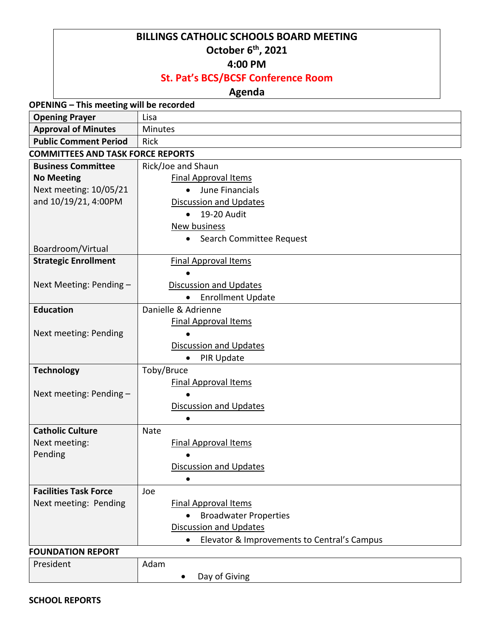## **BILLINGS CATHOLIC SCHOOLS BOARD MEETING October 6 th, 2021**

#### **4:00 PM**

# **St. Pat's BCS/BCSF Conference Room**

## **Agenda**

| <b>OPENING - This meeting will be recorded</b> |                                                          |  |
|------------------------------------------------|----------------------------------------------------------|--|
| <b>Opening Prayer</b>                          | Lisa                                                     |  |
| <b>Approval of Minutes</b>                     | Minutes                                                  |  |
| <b>Public Comment Period</b>                   | Rick                                                     |  |
| <b>COMMITTEES AND TASK FORCE REPORTS</b>       |                                                          |  |
| <b>Business Committee</b>                      | Rick/Joe and Shaun                                       |  |
| <b>No Meeting</b>                              | <b>Final Approval Items</b>                              |  |
| Next meeting: 10/05/21                         | June Financials<br>$\bullet$                             |  |
| and 10/19/21, 4:00PM                           | Discussion and Updates                                   |  |
|                                                | 19-20 Audit<br>$\bullet$                                 |  |
|                                                | <b>New business</b>                                      |  |
|                                                | Search Committee Request<br>٠                            |  |
| Boardroom/Virtual                              |                                                          |  |
| <b>Strategic Enrollment</b>                    | <b>Final Approval Items</b>                              |  |
|                                                |                                                          |  |
| Next Meeting: Pending -                        | <b>Discussion and Updates</b>                            |  |
|                                                | <b>Enrollment Update</b><br>$\bullet$                    |  |
| <b>Education</b>                               | Danielle & Adrienne                                      |  |
|                                                | <b>Final Approval Items</b>                              |  |
| Next meeting: Pending                          |                                                          |  |
|                                                | <b>Discussion and Updates</b>                            |  |
|                                                | PIR Update                                               |  |
| <b>Technology</b>                              | Toby/Bruce<br><b>Final Approval Items</b>                |  |
| Next meeting: Pending -                        |                                                          |  |
|                                                | Discussion and Updates                                   |  |
|                                                |                                                          |  |
| <b>Catholic Culture</b>                        | Nate                                                     |  |
| Next meeting:                                  | <b>Final Approval Items</b>                              |  |
| Pending                                        |                                                          |  |
|                                                | <b>Discussion and Updates</b>                            |  |
|                                                |                                                          |  |
| <b>Facilities Task Force</b>                   | Joe                                                      |  |
| Next meeting: Pending                          | <b>Final Approval Items</b>                              |  |
|                                                | <b>Broadwater Properties</b><br>$\bullet$                |  |
|                                                | <b>Discussion and Updates</b>                            |  |
|                                                | Elevator & Improvements to Central's Campus<br>$\bullet$ |  |
| <b>FOUNDATION REPORT</b>                       |                                                          |  |
| President                                      | Adam                                                     |  |
|                                                | Day of Giving                                            |  |